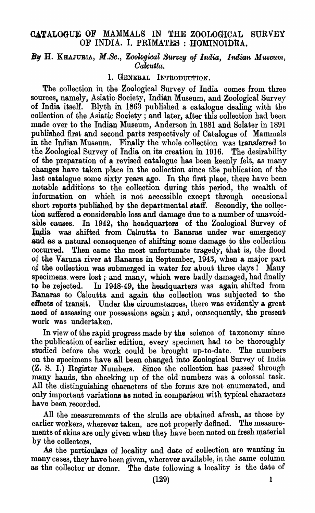# CATALOGUE OF MAMMALS IN THE ZOOLOGICAL SURVEY OF INDIA. I. PRIMATES : HOMINOIDEA.

# *By* H. KHAJUBIA, *M.Sc., Zoological Survey of India, Indian Museum, . Calcutta.*

# 1. GENERAL INTRODUCTION.

The collection in the Zoological Survey of India comes from three sources. namely, Asiatic· Society, Indiah Museum., and Zoological Survey of India itself. Blyth in 1863 published a catalogue dealing with the collection of the Asiatic Society; and later, after this collection had been made over to the Indian Museum, Anderson in 1881 and Sclater in 1891 pUblished first and second parts respectively of Catalogue of Mammals in the Indian Museum. Finally the whole collection was transferred to the Zoological Survey of India on its creation in 1916. The desirability of the preparation of a revised catalogue has been keenly felt, as many changes have taken place in the oollection aince the publication of the last catalogue some sixty years ago. In the first place, there have been notable additions to the colleotion during this period, the wealth of information on which is not accessible except through occasional short reports published by the departmental staff. Secondly, the collection suffered a considerable loss and damage due to a number of unavoidable causes. In 1942, the headquarters of the Zoological Survey of India was shifted from Caloutta to Banaras under war emergency and as a natural consequence of shifting some damage to the collection occurred. Then came the most unfortunate tragedy, that is, the flood Then came the most unfortunate tragedy, that is, the flood of the Varuna river at Banaras in September, 1943, when a major part of the collection was submerged in water for about three days! Many specimens were lost; and many, which were badly damaged, had finally to be rejected. In 1948-49, the headquarters was again shifted from Banaras to Calcutta and again the colleotion was subjected to the effeots of transit. Under the circumstances, there was evidently a great need of assessing our possessions again; and, consequently, the present work was undertaken.

In view of the rapid progress made by the soience of taxonomy since the publication of earlier edition, every specimen had to be thoroughly studied before the work oould be brought up-to-date. The numbers on the specimens have all been ohanged into Zoological Survey of India (Z. S. I.) Register Numbers. Since the collection has passed through many hands, the checking up of the old numbers was a colossal task. All the distinguishing characters of the forms are not enumerated, and only important variations as noted in comparison with typical characters have been recorded.

All the measurements of the skulls are obtained afresh, as those by earlier workers, wherever taken, are not properly defined. The measurements of skins are only given when they have been noted on fresh material by the collectors.

As the partioulars of locality and date of collection are wanting in many cases, they have been given, wherever available, in the same column as the collector or donor. The date following a locality is the date of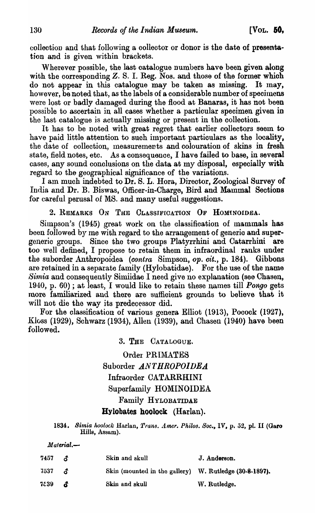collection and that following a collector or donor is the date of presentation and is given within braokets.

Wherever possible, the last catalogue numbers have been given along with the corresponding Z. S. I. Reg. Nos. and those of the former which do not appear in this catalogue may be taken as missing. It may, however, be noted that, as the labels of a considerable number of specimens were lost or badly damaged during the Hood at Banaras, it has not been possible to ascertain in all cases whether a particular specimen given in the last catalogue is actually missing or present in the colleotion.

It has to be noted with great regret that earlier collectors seem to have paid little attention to suoh important partioulars as the locality, the date of collection, measurements and colouration of skins in fresh state, field notes, etc. As a consequence, I have failed to base, in several cases, any sound conclusions on the data at my disposal, especially with regard to the geographical significance of the variations.

I am much indebted to Dr. S. L. Hora, Director, Zoological Survey of India and Dr. B. Biswas, Officer-in-Charge, Bird and Mammal Seotions for careful perusal of MS. and many useful suggestions.

2. REMARKS ON THE CLASSIFICATION OF HOMINOIDEA.

Simpson's (1945) great work on the classification of mammals has been followed by me with regard to the arrangement of generic and supergeneric groups. Since the two groups Platyrrhini and Catarrhini are too well defined, I propose to retain them in infraordinal ranks under the suborder Anthropoidea *(contra Simpson, op. cit., p. 184)*. Gibbons are retained in a separate family (Hylobatidae). For the use of the name Simia and consequently Simiidae I need give no explanation (see Chasen, 1940, p. 60); at least, I would like to retain these names till *Pongo* gets more familiarized and there are suffioient grounds to believe that it will not die the way its predecessor did.

For the olassification of various genera Elliot (1913), Pocock (1927), Kloss (1929), Schwarz (1934), Allen (1939), and Chasen (1940) have been followed.

> 3. THE CATALOGUE. Order PRIMATES Suborder  $ANTHROPOIDEA$ Infraorder CATARRHINI Superfamily HOMINOIDEA Family HYLOBATIDAE Bylobates hoolock (Harlan).

*1834. Si'lnia Iwoloek* Harlan, *Trans. Amer. Philo8. Soc.,* IV, p. 52, pl. II (Garo Hills, Assam).

*Material.-*

| 7457 | $\boldsymbol{\mathcal{A}}$ | Skin and skull                                         | J. Anderson. |
|------|----------------------------|--------------------------------------------------------|--------------|
| 7537 | $\mathcal{Z}$              | Skin (mounted in the gallery) W. Rutledge (30-8-1897). |              |
| 7539 | - 5                        | Skin and skull                                         | W. Rutledge. |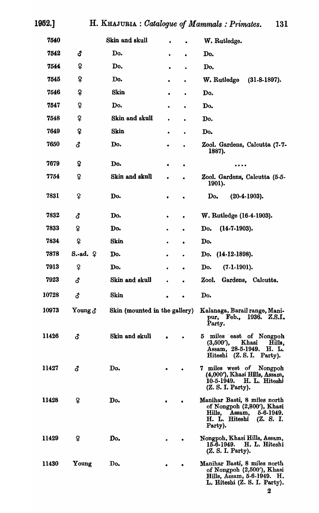| 7540  |                    | Skin and skull                |           |           | W. Rutledge.                                                                                                                      |
|-------|--------------------|-------------------------------|-----------|-----------|-----------------------------------------------------------------------------------------------------------------------------------|
| 7542  | ්                  | Do.                           |           |           | Do.                                                                                                                               |
| 7544  | ¥                  | Do.                           |           |           | Do.                                                                                                                               |
| 7545  | ¥                  | Do.                           | $\bullet$ | $\bullet$ | W. Rutledge<br>$(31-8-1897).$                                                                                                     |
| 7546  | ¥                  | <b>Skin</b>                   | ٠         | $\bullet$ | Do.                                                                                                                               |
| 7547  | ¥                  | Do.                           | $\bullet$ | $\bullet$ | Do.                                                                                                                               |
| 7548  | ¥                  | Skin and skull                | $\bullet$ |           | Do.                                                                                                                               |
| 7649  | ¥                  | <b>Skin</b>                   | ۰         | ٠         | Do.                                                                                                                               |
| 7650  | ්                  | Do.                           |           |           | Zool. Gardens, Calcutta (7-7-<br>1887).                                                                                           |
| 7679  | ò                  | Do.                           | ٠         | ٠         | .                                                                                                                                 |
| 7754  | ₽                  | Skin and skull                | $\bullet$ |           | Zool. Gardens, Calcutta (5-5-<br>1901).                                                                                           |
| 7831  | ¥                  | Do.                           |           |           | $(20-4-1903).$<br>Do.                                                                                                             |
| 7832  | δ                  | Do.                           | ٠         | $\bullet$ | W. Rutledge (16-4-1903).                                                                                                          |
| 7833  | Ş                  | Do.                           |           | ٠         | $(14-7-1903).$<br>Do.                                                                                                             |
| 7834  | ¥                  | <b>Skin</b>                   |           | ۰         | Do.                                                                                                                               |
| 7878  | $S$ .-ad. $\Omega$ | Do.                           | $\bullet$ | $\bullet$ | $(14-12-1898)$ .<br>Do.                                                                                                           |
| 7913  | ¥                  | Do.                           | ۰         | $\bullet$ | $(7-1-1901).$<br>Do.                                                                                                              |
| 7923  | đ                  | Skin and skull                |           |           | Gardens, Calcutta.<br>Zool.                                                                                                       |
| 10728 | δ                  | Skin                          | ٠         | ۰         | Do.                                                                                                                               |
| 10973 | Young $\delta$     | Skin (mounted in the gallery) |           |           | Kalanaga, Barail range, Mani-<br>pur, Feb., 1936. Z.S.I.<br>Party.                                                                |
| 11426 | đ                  | Skin and skull                |           |           | 5 miles east of Nongpoh<br>Khasi Hills,<br>$(3,600')$ ,<br>Assam, 28-5-1949. H. L.<br>Hiteshi (Z.S.I. Party).                     |
| 11427 | đ                  | Do.                           |           |           | 7 miles west of Nongpoh<br>(4,000'), Khasi Hills, Assam,<br>10-5-1949. H. L. Hiteshi<br>(Z. S. I. Party).                         |
| 11428 | ¥                  | Do.                           |           |           | Manihar Basti, 8 miles north<br>of Nongpoh (2,800'), Khasi<br>Hills, Assam, $5-6-1949$ .<br>H. L. Hiteshi<br>(Z. S. I.<br>Party). |
| 11429 | ¥                  | Do.                           |           |           | Nongpoh, Khasi Hills, Assam,<br>15-6-1949. H. L. Hiteshi<br>(Z. S. I. Party).                                                     |
| 11430 | Young              | Do <sub>•</sub>               |           |           | Manihar Basti, 8 miles north<br>of Nongpoh (2,500'), Khasi<br>Hills, Assam, 5-6-1949. H.<br>L. Hiteshi (Z. S. I. Party).          |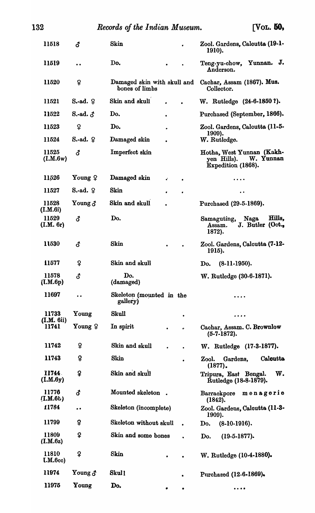| 11518                   | đ                  | Skin                                          |           |           | Zool. Gardens, Calcutta (19-1-<br>1910).                                    |
|-------------------------|--------------------|-----------------------------------------------|-----------|-----------|-----------------------------------------------------------------------------|
| 11519                   | $\bullet$          | Do.                                           | ٠         |           | J.<br>Teng-yu-chow, Yunnan.<br>Anderson.                                    |
| 11520                   | ¥                  | Damaged skin with skull and<br>bones of limbs |           |           | Cachar, Assam (1867). Mus.<br>Collector.                                    |
| 11521                   | $S.-ad.$ $\varphi$ | Skin and skull                                |           |           | W. Rutledge (24-6-1850?).                                                   |
| 11522                   | S.-ad. $\delta$    | Do.                                           |           |           | Purchased (September, 1866).                                                |
| 11523                   | ¥                  | Do.                                           | ٠         |           | Zool. Gardens, Calcutta (11-5-                                              |
| 11524                   | $S$ -ad. $\varphi$ | Damaged skin                                  |           |           | 1909).<br>W. Rutledge.                                                      |
| 11525<br>(L.M.6w)       | <b>ි</b>           | Imperfect skin                                |           |           | Hotha, West Yunnan (Kakh-<br>W. Yunnan<br>yen Hills).<br>Expedition (1868). |
| 11526                   | Young $\varphi$    | Damaged skin                                  | ¢.        | $\bullet$ | .                                                                           |
| 11527                   | $S$ -ad. $\varphi$ | <b>Skin</b>                                   | ٠         | $\bullet$ | $\bullet$                                                                   |
| 11528<br>(I.M.6i)       | Young $\delta$     | Skin and skull                                |           |           | Purchased (29-5-1869).                                                      |
| 11529<br>(L.M. 6r)      | <b>ි</b>           | Do.                                           |           |           | Hills,<br>Naga<br>Samaguting,<br>J. Butler (Oct.,<br>Assam.<br>1872).       |
| 11530                   | <b>ි</b>           | Skin                                          |           |           | Zool. Gardens, Calcutta (7-12-<br>1915).                                    |
| 11577                   | ş                  | Skin and skull                                |           |           | $(8-11-1950)$ .<br>Do.                                                      |
| 11578<br>(LM.6p)        | đ                  | Do.<br>(damaged)                              |           |           | W. Rutledge (30-6-1871).                                                    |
| 11697                   |                    | Skeleton (mounted in the<br>gallery)          |           |           |                                                                             |
| 11733                   | Young              | Skull                                         |           | ٠         | .                                                                           |
| (L.M. 6ii)<br>11741     | Young $\varphi$    | In spirit                                     | $\bullet$ | è         | Cachar, Assam. C. Brownlow<br>$(5-7-1872)$ .                                |
| 11742                   | ¥                  | Skin and skull                                |           | $\bullet$ | W. Rutledge (17-3-1877).                                                    |
| 11743                   | ¥                  | Skin                                          |           | $\bullet$ | <b>Calcutta</b><br>Gardens,<br>Zool.<br>$(1877)$ .                          |
| 11744<br>(LM.6y)        | ¥                  | Skin and skull                                |           |           | w.<br>Tripura, East Bengal.<br>Rutledge (18-8-1879).                        |
| 11776<br>$($ I.M. $6b)$ | đ                  | Mounted skeleton.                             |           |           | Barrackpore<br>menagerie<br>(1842).                                         |
| 11784                   | $\bullet$          | Skeleton (incomplete)                         |           |           | Zool. Gardens, Calcutta (11-3-<br>1909).                                    |
| 11799                   | Ş                  | Skeleton without skull                        |           | $\bullet$ | $(8-10-1916)$ .<br>Do.                                                      |
| 11809<br>(I.M.6z)       | Ş                  | Skin and some bones                           |           |           | Do.<br>$(19-5-1877)$ .                                                      |
| 11810<br>I.M.6cc)       | ¥                  | <b>Skin</b>                                   | ٠         | $\bullet$ | W. Rutledge (10-4-1880).                                                    |
| 11974                   | Young $\delta$     | Skull                                         |           |           | Purchased (12-6-1869).                                                      |
| 11975                   | Young              | Do.                                           | ٠         | ٠         | .                                                                           |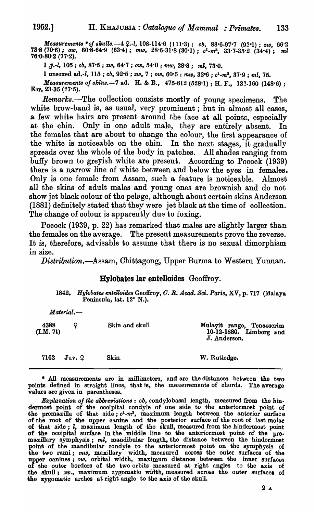*Measurements \*of skulls.*—4 ?.-l, 108-114·6 (111·3); *cb, 88*·6-97·7 (92·1); *zw, 66*·2  $73.8$  (70.6); *ow*,  $60.\overline{8}.64.9$  ( $63.4$ );  $m\omega$ ,  $28.6.\overline{31.8}$  ( $30.1$ );  $c^1 \text{-} m^3$ ,  $33.7.\overline{35.2}$  ( $34.4$ );  $m\omega$ 76·0·80·2 (77·2).

1 *c1.-l,* 105 ; *00,* 87·5 ; *zw,* 64·7 ; *ow,* 54·0 ; *mw,* 28·8; ml, *73·0.* 

I unsexed ad.-l, 115 ; *eb,* 92·5 ; *zw,* 7 ; *ow,* 60·5 ; *mw,* 32~ ; *c1\_m3,* 37·9 ; *ml, 75.* 

*Measurements of skins.*-7 ad. H. & B., 475-612 (528.1); H. F., 132-160 (148.6); Ear,  $23-35$  ( $27-5$ ).

*Remarks.*-The collection consists mostly of young specimens. The white brow-band is, as usual, very prominent; but in almost all cases, a few white hairs are present around the face at all points, especially at the chin. Only in one adult male, they are entirely absent. In the females that are about to change the colour, the first appearance of the white is noticeable on the chin. In the next stages, it gradually spreads over the whole of the body in patohes. All shades ranging from buffy brown to greyish white are present. According to Pocock (1939) there is a narrow line of white between and below the eyes in females\_ Only is one female from Assam, suoh a feature is noticeable. Almost all the skins of adult males and young ones are brownish and do not show jet black colour of the pelage, although about certain skins Anderson (1881) definitely stated that they were jet blaok at the time of colleotion. The change of colour is apparently due to foxing.

Pooook (1939, p. 22) has remarked that males are slightly larger than the females on the average. The present measurements prove the reverse. It is, therefore, advisable to assume that there is no sexual dimorphism in size.

*Distribution.-Assam,* Chittagong, Upper Burma to Western Yunnan.

# Hylobates lar entelloides Geoffroy.

*1842. Hylobate8 enteUoide8* Geoffroy, *O. R. Acad. Bei. Paris,* XV, p. 717 (Malaya Peninsula, lat. 12° N.).

| $Material. -$     |            |                |                                                                      |  |  |
|-------------------|------------|----------------|----------------------------------------------------------------------|--|--|
| 4388<br>(L.M. 7t) | Ω          | Skin and skull | Mulayit range, Tenasserim<br>10-12-1880. Limborg and<br>J. Anderson. |  |  |
| 7162              | $Juv.$ $Q$ | <b>Skin</b>    | W. Rutledge.                                                         |  |  |

\* All measurements' are in millimeters, and are the distances between the two points defined in straight lines, that is, the measurements of ohords. The average values are given in parentheses.

*Explanation 0/ the abbreviations: cb,* condylo basal length, measured from the hin. dermost point of the ocoipital condyle of one side to the anteriormost point of the premaxilla of that  $side$ ;  $c<sup>1</sup>$ - $m<sup>3</sup>$ , maximum length between the anterior surface of the root of the upper canine and the posterior surface of the root of last molar of that side; l, maximum length of the skull, measured from the hindermost point of the occipital surface in the middle line to the anteriormost point of the premaxillary symphysis; ml, mandibular length, the distance between the hindermost point of the mandibular oondyle to the anteriormost point on the symphysis of the two rami; mw, maxillary width, measured across the outer surfaces of the upper canines; *ow*, orbital width, maximum distance between the inner surfaces of the outer borders of the two orbits measured at right angles to the axis of the skull; *zw.*, maximum zygomatic width, measured across the outer surfaces of the zygomatio arches at right angle to the axis of the skull.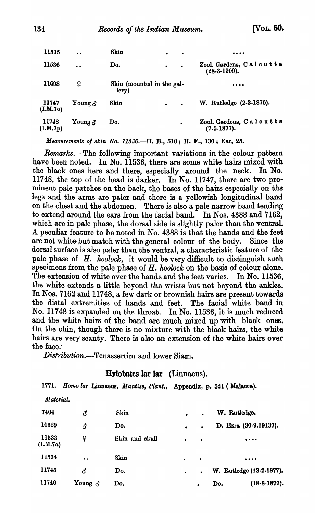| 11535             | $\bullet$                            | Skin                               | $\bullet$ | $\bullet$ |                                            |
|-------------------|--------------------------------------|------------------------------------|-----------|-----------|--------------------------------------------|
| 11536             | $\ddot{\phantom{0}}$                 | Do.                                | $\bullet$ | $\bullet$ | Zool. Gardens, Calcutta<br>$(28-3-1909)$ . |
| 11698             | ¥                                    | Skin (mounted in the gal-<br>lery) |           |           | $\cdots$                                   |
| 11747<br>(L.M.70) | Young $\delta$                       | Skin                               | $\bullet$ | $\bullet$ | W. Rutledge (2-3-1876).                    |
| 11748<br>(LM.7p)  | $\mathbf{Young} \, \mathbf{\hat{c}}$ | Do.                                |           | $\bullet$ | Zool. Gardens, Calcutta<br>$(7-5-1877)$ .  |

*Measurements oj 8kin No.* 11536.-H. B., 510; H. F., 130; Ear, 25.

*Remarks.-The* following important variations in the colour pattern have been noted. In No. 11536, there are some white hairs mixed with the black ones here and there, especially around the neck. In No. 11748, the top of the head is darker. In No. 11747, there are two prominent pale patches on the back, the bases of the hairs especially on the legs and the arms are paler and there is a yellowish longitudinal band on the chest and the abdomen. There is also a pale narrow band tending to extend around the ears from the facial band. In Nos. 4388 and 7162, which are in pale phase, the dorsal side is slightly paler than the ventral. A peculiar feature to be noted in No. 4388 is that the hands and the feet are not white but match with the general colour of the body. Since the dorsal surface is also paler than the ventral, a characteristic feature of the pale phase of *H. hoolock,* it would be very difficult to distinguish suoh speoimens from the pale phase of H. *hoolock* on the basis of colour alone. The extension of white over the hands and the feet varies. In No. 11536, the white extends a little beyond the wrists but not beyond the ankles. In Nos. 7162 and 11748, a few dark or brownish hairs are present towards the distal extremities of hands and feet. The faoial white band in No. 11748 is expanded on the throat. In No. 11536, it is much reduced and the white hairs of the band are much mixed up with black ones. On the chin, though there is no mixture with the black hairs, the white hairs are very scanty. There is also an extension of the white hairs over the face:

*Distribution.*—Tenasserrim and lower Siam.

# Bylobates lar lar (Linnaeus).

1771. Homo lar Linnaeus, *Mantiss*, *Plant.*, Appendix, p. 521 (Malacca).

| $\it Material$ .  |                |                |           |           |                                |
|-------------------|----------------|----------------|-----------|-----------|--------------------------------|
| 7404              | <b>ි</b>       | Skin           | $\bullet$ |           | W. Rutledge.                   |
| 10529             | ර              | Do.            | $\bullet$ | $\bullet$ | D. Ezra (30-9.19137).          |
| 11533<br>(L.M.7a) | ¥              | Skin and skull | $\bullet$ | $\bullet$ | $\bullet\bullet\bullet\bullet$ |
| 11534             | $\bullet$      | Skin           | $\bullet$ | $\bullet$ | $\bullet\bullet\bullet\bullet$ |
| 11745             | ර              | Do.            | $\bullet$ | $\bullet$ | W. Rutledge (13-2-1877).       |
| 11746             | Young $\delta$ | Do.            |           | $\bullet$ | $(18-8-1877)$ .<br>Do.         |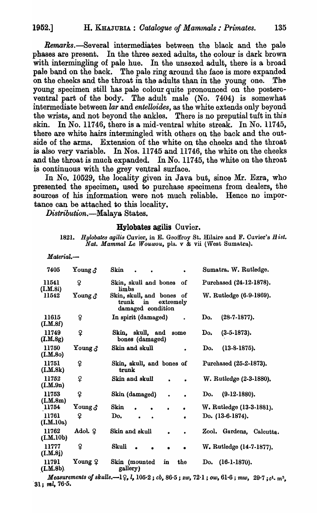Remarks.—Several intermediates between the black and the pale phases are present. In the three sexed adults, the oolour is dark brown with intermingling of pale hue. In the unsexed adult, there is a broad pale band on the back. The pale ring around the face is more expanded on the cheeks and the throat in the adults than in the young one. The young specimen still has pale colour quite pronounced on the posteroventral part of the body. The adult male (No. 7404) is somewhat intermediate between *lar* and *entelloides,* as the white extends only beyond the wrists, and not beyond the ankles. There is no preputial tuft in this skin. In No. 11746, there is a mid-ventral white streak. In No. 11745, there are white hairs intermingled with others on the back and the outside of the arms. Extension of the white on the cheeks and the throat is also very variable. In Nos. 11745 and 11746, the white on the cheeks and the throat is much expanded. In No. 11745, the white on the throat is continuous with the grey ventral surface.

In No. 10529, the locality given in Java but, since Mr. Ezra, who presented the speoimen, used to purchase specimens from dealers, the sources of his information were not much reliable. Hence no importance can be attached to this locality.

*Distribution.-Malaya* States.

*Material.-*

#### Hylobates agilis Cuvier.

1821. Hylobates agilis Cuvier, in E. Geoffroy St. Hilaire and F. Cuvier's Hist. *Nat. Mammal Le Wouwou,* pIs. v & vii (West Sumatra).

| 7405                        | $\mathbf{Young} \, \mathbf{\mathcal{S}}$    | Skin                                                                          | Sumatra. W. Rutledge.       |
|-----------------------------|---------------------------------------------|-------------------------------------------------------------------------------|-----------------------------|
| 11541<br>(L.M.8i)           | ¥                                           | Skin, skull and bones<br>οf<br>limbs                                          | Purchased (24-12-1878).     |
| 11542                       | $\mathbf Y$ oung $\boldsymbol{\mathcal{S}}$ | Skin, skull, and bones<br>of<br>extremely<br>trunk<br>in<br>damaged condition | W. Rutledge (6-9-1869).     |
| 11615<br>(I.M.8f)           | ¥                                           | In spirit (damaged)                                                           | $(28-7-1877)$ .<br>Do.      |
| 11749<br>(I.M.8g)           | $\mathsf{P}$                                | Skin, skull, and<br>some<br>bones (damaged)                                   | $(3-5-1873).$<br>Do.        |
| 11750<br>(I.M.80)           | Young $\delta$                              | Skin and skull                                                                | $(13-8-1875).$<br>Do.       |
| 11751<br>(I.M.8k)           | ¥                                           | Skin, skull, and bones of<br>trunk                                            | Purchased (25-2-1873).      |
| 11752<br>(I.M.9n)           | ¥                                           | Skin and skull                                                                | W. Rutledge (2-3-1880).     |
| 11753<br>(L.M.8m)           | ¥                                           | Skin (damaged)                                                                | $(9-12-1880)$ .<br>Do.      |
| 11754                       | $\mathbf{Young} \, \mathbf{\mathcal{S}}$    | Skin                                                                          | W. Rutledge (13-3-1881).    |
| 11761<br>(I.M.10a)          | ¥                                           | Do.<br>$\bullet$                                                              | Do. (13-6-1874).            |
| 11762<br>(L.M.10b)          | Adol. $9$                                   | Skin and skull<br>٠                                                           | Zool. Gardens,<br>Calcutta. |
| 11777<br>(I.M.8j)           | ¥                                           | <b>Skull</b>                                                                  | W. Rutledge (14-7-1877).    |
| 11791<br>( <b>I.M.8b</b> ). | Young ♀                                     | the<br>Skin (mounted<br>in<br>gallery)                                        | $(16-1-1870)$ .<br>Do.      |

*Measurements of skulls.*—1 $\varphi$ , *l*, 105 $\cdot$ 2; *cb*, 86 $\cdot$ 5; *zw*, 72 $\cdot$ 1; *ow*, 61 $\cdot$ 6; *mw*, 29 $\cdot$ 7; *c*<sup>1</sup>, *m*<sup>3</sup>,  $31;$  ml, 76.5.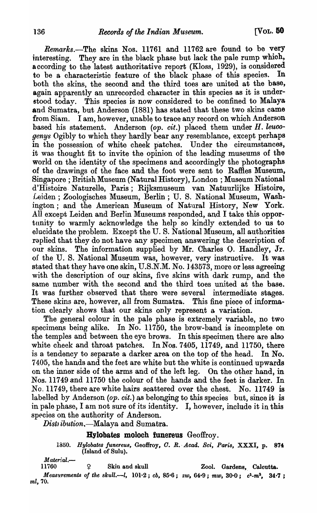*Remarks.-The* skins Nos. 11761 and 11762 are found to be very interesting. They are in the black phase but lack the pale rump whioh, according to the latest authoritative report (Kloss,  $1929$ ), is considered<br>to be a characteristic feature of the black phase of this species. In to be a characteristic feature of the black phase of this species. both the skins, the second and the third toes are united at the base, again apparently an unrecorded character in this species as it is understood today. This species is now considered to be confined to Malaya and Sumatra, but Anderson (1881) has stated that these two skins came from Siam. I am, however, unable to trace any record on which Anderson based his statement. Anderson *(op. cit.)* placed them under H. leuco*genys* Ogibly to which they hardly bear any resemblance, except perhaps in the possession of white cheek patches. Under the circumstances, it was thought fit to invite the opinion of the leading museums of the world on the identity of the specimens and accordingly the photographs of the drawings of the face and the foot were sent to Raffies Museum, Singapore; British Museum (Natural History), London; Museum National d'Histoire. Naturelle, Paris; Rijksmuseum van Natuurlijke Histoire, Leiden; Zoologisches Museum, Berlin; U. S. National Museum, Washington; and the American Museum of Natural History, New York. All except Leiden and Berlin Museums responded, and I take this opportunity to warmly acknowledge the help so kindly extended to us to elucidate the problem. Except the U. S. National Museum, all authorities raplied that they do not have any specimen answering the description of our skins. The information supplied by Mr. Charles O. Handley, Jr. oj: the U. S. National Museum was, however, very instructive. It was stated that they have one skin, U.S.N.M. No. 143573, more or less agreeing with the description of our skins, five skins with dark rump, and the same number with the second and the third toes united at the base. It was further observed that there were several intermediate stages. These skins are, however, all from Sumatra. This fine piece of information clearly shows that our skins only represent a variation.

The general colour in the pale phase is extremely variable, no two specimens being alike. In No. 11750, the brow-band is incomplete on the temples and between the eye brows. In this specimen there are also white cheek and throat patches. In Nos. 7405, 11749, and 11750, there is a tendency to separate a darker area on the top of the head. In No. 7405, the hands and the feet are white but the white is continued upwards on the inner side of the arms and of the left leg. On the other hand, in Nos. 11749 and 11750 the colour of the hands and the feet is darker. In No. 11749, there are white hairs scattered over the chest. No. 11749 is labelled by Anderson *(op. cit.)* as belonging to this species but, since it is in pale phase, I am not sure of its identity. I, however, include it in this species on the authority of Anderson.

*Distribution*, *Malaya and Sumatra.* 

Hylobates moloch funereus Geoffroy.

*1350. Hylobates funereus,* Geoffroy, *O. R.* -*Acad. Sci, Pari8,* XXXI, p. 874 (Island of SuIu).

*Material.*—<br>11760

2 Skin and skull Zool. Gardens, Calcutta.

*Measurements of the skull.*--*l*,  $101.2$ ; *cb*,  $85.6$ ; *zw*,  $64.9$ ; *mw*,  $30.0$ ; *c<sup>1</sup>*-*m*<sup>3</sup>,  $34.7$ ; *ml,70.*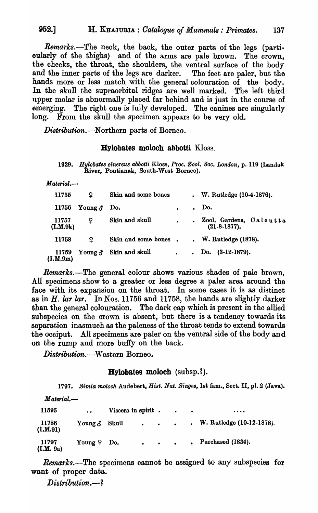*Remarks.-The* neok, the back, the outer parts of the legs (particularly of the thighs) and of the arms are pale brown. The crown, the cheeks, the throat, the shoulders, the ventral surface of the body and the inner parts of the legs are darker. The feet are paler, but the hands more or less match with the general colouration of the body. In the skull the supraorbital ridges are well marked. The left third upper molar is abnormally placed far behind and is just in the course of emerging. The right one is fully developed. The canines are singularly long. From the skull the specimen appears to be very old.

Distribution.-Northern parts of Borneo.

#### Hylobates moloch abbotti Kloss.

 $Material. -$ 

| 11755             | Ω                  | Skin and some bones  |           | . W. Rutledge $(10-4-1876)$ .                    |
|-------------------|--------------------|----------------------|-----------|--------------------------------------------------|
| 11756             | Young $\delta$ Do. |                      | $\bullet$ | $.$ Do.                                          |
| 11757<br>(I.M.9k) | ¥                  | Skin and skull       | $\bullet$ | . Zool. Gardens, Calcutta<br>$(21 - 8 - 1877)$ . |
| 11758             | ¥                  | Skin and some bones. |           | $W.$ Rutledge $(1878).$                          |
| 11759<br>(I.M.9m) | Young $\delta$     | Skin and skull       | $\bullet$ | Do. $(3-12-1879)$ .                              |

*Remarks.-The* general colour shows various shades of pale brown. All specimens show to a greater or less degree a paler area around the face with its expansion on the throat. In some cases it is as distinct as in *H. lar lar.* In Nos. 11756 and 11758, the hands are slightly darker than the general colouration. The dark cap which is present in the allied subspecies on the crown is absent, but there is a tendency towards its separation inasmuch as the paleness of the throat tends to extend towards the occiput. All specimens are paler on the ventral side of the body and on the rump and more buffy on the back.

*Distribution.-Western* Borneo.

# Hylobates moloch (subsp.?).

1797. Simia moloch Audebert, *Hist. Nat. Singes*, 1st fam., Sect. II, pl. 2 (Java).

| $M$ aterial.—      |                      |                    |  |                                         |                                |
|--------------------|----------------------|--------------------|--|-----------------------------------------|--------------------------------|
| 11595              | $\bullet$            | Viscera in spirit. |  | <b>Contract Contract Ave</b>            | $\bullet\bullet\bullet\bullet$ |
| 11786<br>(LM.91)   | Young $\delta$ Skull |                    |  | $\bullet$ $\bullet$ $\bullet$ $\bullet$ | . W. Rutledge $(10-12-1878)$ . |
| 11797<br>(I.M. 9a) | Young $9$ Do.        |                    |  | $\bullet$ $\bullet$ $\bullet$           | $.$ Purchased $(1834).$        |

*Remarks.*—The specimens cannot be assigned to any subspecies for want of proper data.

*Distribution..--1* 

<sup>1929.</sup> Hylobates cinereus abbotti Kloss, Proc. Zool. Soc. London, p. 119 (Landak River, Pontianak, South-West Borneo).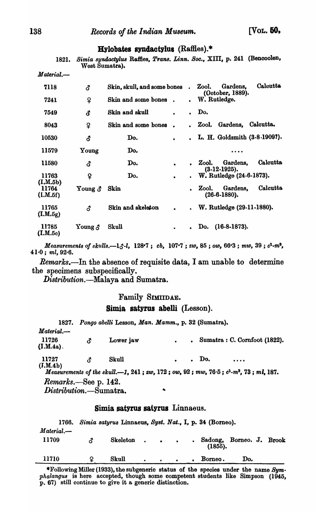#### Hylobates syndactylus  $(R$ affles).\*

1821. Simia syndactylus Raffies, *Trans. Linn. Soc.*, XIII, p. 241 (Bencoolen, West Sumatra).

| 7118              | <b>ි</b>       | Skin, skull, and some bones |           | $\ddot{\phantom{a}}$ | Calcutta<br>Gardens,<br>Zool.<br>(October, 1889). |
|-------------------|----------------|-----------------------------|-----------|----------------------|---------------------------------------------------|
| 7241              | ¥              | Skin and some bones         |           | $\bullet$            | W. Rutledge.                                      |
| 7549              | <b>ි</b>       | Skin and skull              | $\bullet$ | $\bullet$            | Do.                                               |
| 8043              | ¥              | Skin and some bones         |           |                      | Calcutta.<br>Gardens,<br>Zool.                    |
| 10530             | <b>ි</b>       | Do.                         | $\bullet$ |                      | L. H. Goldsmith (3-8-1909?).                      |
| 11579             | Young          | Do.                         |           |                      | .                                                 |
| 11580             | <b>3</b>       | Do.                         | $\bullet$ |                      | Calcutta<br>Gardens,<br>Zool.<br>$(3-12-1925).$   |
| 11763<br>(I.M.5b) | ¥              | Do.                         | $\bullet$ | $\bullet$            | W. Rutledge (24-6-1873).                          |
| 11764<br>(L.M.5f) | Young $\delta$ | Skin                        |           | $\bullet$            | Calcutta<br>Gardens.<br>Zool.<br>$(26-6-1880)$ .  |
| 11765<br>(I.M.5g) | δ.             | Skin and skeleton           |           | $\bullet$            | W. Rutledge (29-11-1880).                         |
| 11785<br>(L.M.5c) | Young $\delta$ | Skull                       | $\bullet$ | $\bullet$            | $(16-8-1873).$<br>Do.                             |

*Measurements of skulls.*-13-*l*, 128<sup>-7</sup>; *cb*, 107<sup>-7</sup>; *zw*, 85; *ow*, 66<sup>-</sup>3; *mw*, 39; *c*<sup>1</sup>-*m*<sup>8</sup>, 41<sup>-0</sup>; *ml*, 92<sup>-</sup>6.

*Rernarks.-In* the absence of requisite data, I am unable to determine the specimens subspecifically.

*Distribution.-Malaya* and Sumatra.

#### Family SIMIIDAE.

#### Simia satyrus abelli (Lesson).

1827. Pongo abelli Lesson, *Man. Mamm.*, p. 32 (Sumatra). *Material.-* 11726 Lower jaw **• Sumatra: C. Cornfoot (1822).** <u>ී</u>  $(I.M.4a)$ . Skull **.** . Do. .... 11727 **ි** (J.M.4b) *Meawrements 01 the alcul'.-l,* 241 ; *ZW,* 172; *ow.* 92; *mw,* 76·5; *c*1*·m8,* 73; *mi.* 187.

*Remarks.-See* p. 142.

*Distributioo.-Sumatra\_* 

#### Simia satyrus satyrus Linnaeus.

1766. Simia satyrus Linnaeus, Syst. Nat., I, p. 34 (Borneo). *Material.-* 11709  $\delta$  Skeleton Sadong, Borneo. J. Brook (1855). 11710 **9** Skull . Borneo. Do.  $\bullet$  $\bullet$ 

\*Following Miller (1933), the subgeneric status of the species under the name Sym*phalangus* is here accepted, though some competent students like Simpson (1945, p. 67) still continue to give it a. generio distinction.

*Material.-*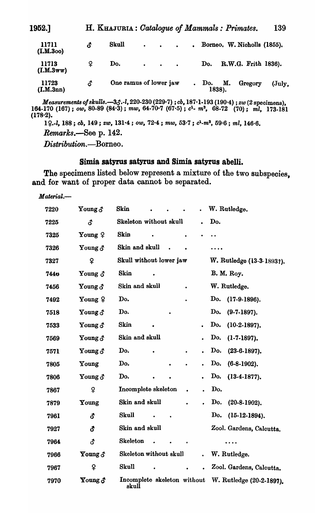| 1952.]             |    | H. KHAJURIA: Catalogue of Mammals: Primates. |                               |  |       |              |                                                             | 139               |
|--------------------|----|----------------------------------------------|-------------------------------|--|-------|--------------|-------------------------------------------------------------|-------------------|
| 11711<br>(I.M.3oo) | δ  | Skull                                        |                               |  |       |              | $\cdot$ $\cdot$ $\cdot$ $\cdot$ Borneo, W. Nicholls (1855). |                   |
| 11713<br>(I.M.3ww) | ¥  | Do.                                          | $\bullet$ $\bullet$ $\bullet$ |  | Do.   |              | R.W.G. Frith 1836).                                         |                   |
| 11723<br>(I.M.3nn) | δ. | One ramus of lower jaw                       |                               |  | . Do. | М.<br>1838). | Gregory                                                     | $(\mathrm{July.}$ |

*Measurements o/81culls.-3e! •• l,* 220·230 (229,7) ; *cb,* 187,1.193 (190'4) ; *zw* (2 speoimens), 164·170 (167) j *ow,* 80-89 (84'3); *mw,* 64·70'7 (67·5) j *c1• m3,* 68·72 (70); *ml, 173.181*  (17S·2).

1~ *•• l,* 188; *00,* 149; *ZW,* 131·4; *ow,* 72'4; *mw,* 53·7 j *c1\_m3,* 59·6; *ml, 146·6. Remarks.-See* p. 142.

*Distribution.-Borneo.* 

#### Simia satyrus satyrus and Simia satyrus abelli.

The specimens listed below represent a mixture of the two subspecies, and for want of proper data cannot be separated.

*Material.-*

| 7220        | Young $\delta$  | <b>Skin</b>                          | W. Rutledge.              |
|-------------|-----------------|--------------------------------------|---------------------------|
| 7225        | 3               | Skeleton without skull               | Do.                       |
| 7325        | Young $9$       | <b>Skin</b>                          |                           |
| 7326        | Young $\delta$  | Skin and skull                       |                           |
| 7327        | $\mathbf{P}$    | Skull without lower jaw              | W. Rutledge (13-3-1893?). |
| <b>7440</b> | Young $\delta$  | <b>Skin</b>                          | <b>B. M. Roy.</b>         |
| 7456        | Young $\delta$  | Skin and skull                       | W. Rutledge.              |
| 7492        | Young $\varphi$ | Do.                                  | Do.<br>$(17-9-1896).$     |
| 7518        | Young $\delta$  | Do.                                  | Do.<br>$(9-7-1897)$ .     |
| 7533        | Young $\delta$  | <b>Skin</b><br>$\bullet$             | Do.<br>$(10-2-1897)$ .    |
| 7569        | Young $\delta$  | Skin and skull                       | Do.<br>$(1-7-1897)$ .     |
| 7571        | Young $\delta$  | Do.                                  | Do.<br>$(23-6-1897)$ .    |
| 7805        | Young           | Do.<br>$\bullet$                     | Do.<br>$(6-8-1902)$ .     |
| 7806        | Young $\delta$  | Do.                                  | Do.<br>$(13-4-1877)$ .    |
| 7867        | $\mathsf{P}$    | Incomplete skeleton                  | Do.                       |
| 7879        | Young           | Skin and skull<br>$\bullet$          | Do.<br>$(20-8-1902)$ .    |
| 7961        | <b>ි</b>        | Skull                                | Do.<br>$(15-12-1894).$    |
| 7927        | ර               | Skin and skull                       | Zool. Gardens, Calcutta.  |
| 7964        | δ.              | <b>Skeleton</b>                      | $\cdots$                  |
| 7966        | Young $\delta$  | Skeleton without skull               | W. Rutledge.              |
| 7967        | ¥               | Skull                                | Zool. Gardens, Calcutta.  |
| 7970        | Young $\delta$  | Incomplete skeleton without<br>skull | W. Rutledge (20-2-1897).  |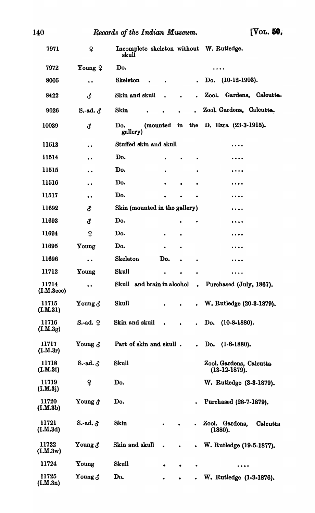| 140                 |                      | Records of the Indian Museum.                     |                      |               |           | $\sqrt{\text{Vol}}$ . 50,                                                                                               |
|---------------------|----------------------|---------------------------------------------------|----------------------|---------------|-----------|-------------------------------------------------------------------------------------------------------------------------|
| 7971                | ¥                    | Incomplete skeleton without W. Rutledge.<br>skull |                      |               |           |                                                                                                                         |
| 7972                | Young ?              | Do.                                               |                      |               |           | .                                                                                                                       |
| 8005                | $\bullet$            | <b>Skeleton</b>                                   |                      |               |           | Do. (10-12-1903).                                                                                                       |
| 8422                | <b>ි</b>             | Skin and skull                                    | $\ddot{\phantom{a}}$ | $\sim$ $\sim$ |           | Gardens, Calcutta.<br>Zool.                                                                                             |
| 9026                | S.-ad. $\delta$      | Skin                                              |                      |               | $\bullet$ | Zool. Gardens, Calcutta.                                                                                                |
| 10039               | <b>3</b>             | Do.<br>gallery)                                   |                      |               |           | (mounted in the D. Ezra (23-3-1915).                                                                                    |
| 11513               | $\ddot{\phantom{0}}$ | Stuffed skin and skull                            |                      |               |           |                                                                                                                         |
| 11514               | $\bullet$            | Do.                                               |                      |               |           |                                                                                                                         |
| 11515               | $\bullet$            | Do.                                               | ٠                    |               | ٠         | .                                                                                                                       |
| 11516               | $\bullet$            | Do.                                               |                      |               |           |                                                                                                                         |
| 11517               | $\bullet$            | Do.                                               |                      |               |           |                                                                                                                         |
| 11692               | δ                    | Skin (mounted in the gallery)                     |                      |               |           |                                                                                                                         |
| 11693               | <b>ි</b>             | Do.                                               |                      |               |           | $\bullet\hspace{0.1cm} \bullet\hspace{0.1cm} \bullet\hspace{0.1cm} \bullet\hspace{0.1cm} \bullet$                       |
| 11694               | $\mathsf{Q}$         | Do.                                               |                      | ٠             |           |                                                                                                                         |
| 11695               | Young                | Do.                                               |                      | $\bullet$     |           |                                                                                                                         |
| 11696               | $\bullet$            | Skeleton                                          | Do.                  | $\bullet$     | $\bullet$ |                                                                                                                         |
| 11712               | Young                | <b>Skull</b>                                      |                      |               |           |                                                                                                                         |
| 11714<br>(L.M.3ccc) | $\bullet$            | Skull and brain in alcohol                        |                      |               |           | . Purchased (July, 1867).                                                                                               |
| 11715<br>(L.M.31)   | Young $\delta$       | Skull                                             |                      |               |           | W. Rutledge (20-3-1879).                                                                                                |
| 11716<br>(I.M.3g)   | $S$ -ad. $Q$         | Skin and skull                                    | $\bullet$            |               | $\bullet$ | $(10-8-1880).$<br>Do.                                                                                                   |
| 11717<br>(I.M.3r)   | Young $\delta$       | Part of skin and skull.                           |                      |               | $\bullet$ | Do. (1-6-1880).                                                                                                         |
| 11718<br>(I.M.3f)   | S.-ad. $\delta$      | Skull                                             |                      |               |           | Zool. Gardens, Calcutta<br>$(13-12-1879).$                                                                              |
| 11719<br>(I.M.3j)   | ¥                    | Do.                                               |                      |               |           | W. Rutledge (3-3-1879).                                                                                                 |
| 11720<br>(L.M.3b)   | Young $\delta$       | Do.                                               |                      |               |           | Purchased (28-7-1879).                                                                                                  |
| 11721<br>(LM.3d)    | $S.$ -ad. $\delta$   | Skin                                              |                      |               | $\bullet$ | Zool. Gardens,<br>Calcutta<br>(1880).                                                                                   |
| 11722<br>(L.M.3w)   | Young $\delta$       | Skin and skull                                    | $\bullet$            | $\bullet$     | $\bullet$ | W. Rutledge (19-5-1877).                                                                                                |
| 11724               | Young                | Skull                                             | $\bullet$            | $\bullet$     | ٠         | $\bullet\hspace{0.1cm} \bullet\hspace{0.1cm} \bullet\hspace{0.1cm} \bullet\hspace{0.1cm} \bullet\hspace{0.1cm} \bullet$ |
| 11725<br>(LM.3n)    | Young $\delta$       | Do.                                               |                      |               |           | W. Rutledge (1-3-1876).                                                                                                 |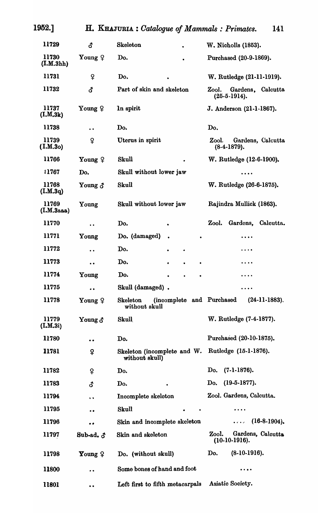| 1952.]              | H. KHAJURIA: Catalogue of Mammals: Primates. |                                                               |                                                                                                          |  |  |  |  |
|---------------------|----------------------------------------------|---------------------------------------------------------------|----------------------------------------------------------------------------------------------------------|--|--|--|--|
| 11729               | đ                                            | <b>Skeleton</b>                                               | W. Nicholls (1853).                                                                                      |  |  |  |  |
| 11730<br>(I.M.3hh)  | Young $9$                                    | Do.                                                           | Purchased (20-9-1869).                                                                                   |  |  |  |  |
| 11731               | ¥                                            | Do.                                                           | W. Rutledge (21-11-1919).                                                                                |  |  |  |  |
| 11732               | đ                                            | Part of skin and skeleton                                     | Zool.<br>Gardens, Calcutta<br>$(25-5-1914).$                                                             |  |  |  |  |
| 11737<br>(I.M.3k)   | Young $9$                                    | In spirit                                                     | J. Anderson (21-1-1867).                                                                                 |  |  |  |  |
| 11738               | $\ddot{\phantom{0}}$                         | Do.                                                           | Do.                                                                                                      |  |  |  |  |
| 11739<br>(1.M.30)   | ¥                                            | Uterus in spirit                                              | Gardens, Calcutta<br>Zool.<br>$(8-4-1879).$                                                              |  |  |  |  |
| 11766               | Young $9$                                    | Skull                                                         | W. Rutledge (12-6-1900).                                                                                 |  |  |  |  |
| 11767               | Do.                                          | Skull without lower jaw                                       | $\cdots$                                                                                                 |  |  |  |  |
| 11768<br>(I.M.3q)   | Young $\delta$                               | Skull                                                         | W. Rutledge (26-6-1875).                                                                                 |  |  |  |  |
| 11769<br>(I.M.3aaa) | Young                                        | Skull without lower jaw                                       | Rajindra Mullick (1863).                                                                                 |  |  |  |  |
| 11770               | $\bullet$                                    | Do.                                                           | Gardens,<br>Calcutta.<br>Zool.                                                                           |  |  |  |  |
| 11771               | Young                                        | Do. (damaged)                                                 | .                                                                                                        |  |  |  |  |
| 11772               | $\bullet$                                    | Do.<br>$\bullet$                                              | $\cdots$                                                                                                 |  |  |  |  |
| 11773               | $\bullet$                                    | Do.<br>$\bullet$<br>$\bullet$                                 | $\cdots$                                                                                                 |  |  |  |  |
| 11774               | Young                                        | Do.                                                           | $\cdots$                                                                                                 |  |  |  |  |
| 11775               | $\bullet\bullet$                             | Skull (damaged).                                              |                                                                                                          |  |  |  |  |
| 11778               | Young $\varphi$                              | (incomplete and Purchased<br><b>Skeleton</b><br>without skull | $(24-11-1883)$ .                                                                                         |  |  |  |  |
| 11779<br>(L.M.3i)   | Young $\delta$                               | Skull                                                         | W. Rutledge (7-4-1877).                                                                                  |  |  |  |  |
| 11780               | $\bullet$                                    | Do.                                                           | Purchased (20-10-1875).                                                                                  |  |  |  |  |
| 11781               | Ş                                            | Skeleton (incomplete and W.<br>without skull)                 | Rutledge (15-1-1876).                                                                                    |  |  |  |  |
| 11782               | ¥                                            | Do.                                                           | $(7-1-1876).$<br>Do.                                                                                     |  |  |  |  |
| 11783               | đ                                            | Do.<br>$\bullet$                                              | $(19-5-1877)$ .<br>Do.                                                                                   |  |  |  |  |
| 11794               | $\bullet$                                    | Incomplete skeleton                                           | Zool. Gardens, Calcutta.                                                                                 |  |  |  |  |
| 11795               | . .                                          | Skull<br>$\bullet$                                            | $\cdots$                                                                                                 |  |  |  |  |
| 11796               | . .                                          | Skin and incomplete skeleton                                  | $(16-8-1904)$<br>$\begin{array}{cccccccccc} \bullet & \bullet & \bullet & \bullet & \bullet \end{array}$ |  |  |  |  |
| 11797               | Sub-ad. $\delta$                             | Skin and skeleton                                             | Zool.<br>Gardens, Calcutta<br>$(10-10-1916).$                                                            |  |  |  |  |
| 11798               | Young $9$                                    | Do. (without skull)                                           | $(8-10-1916)$ .<br>Do.                                                                                   |  |  |  |  |
| <b>11800</b>        | $\bullet\bullet$                             | Some bones of hand and foot                                   | .                                                                                                        |  |  |  |  |
| 11801               | $\bullet$                                    | Left first to fifth metacarpals                               | Asiatic Society.                                                                                         |  |  |  |  |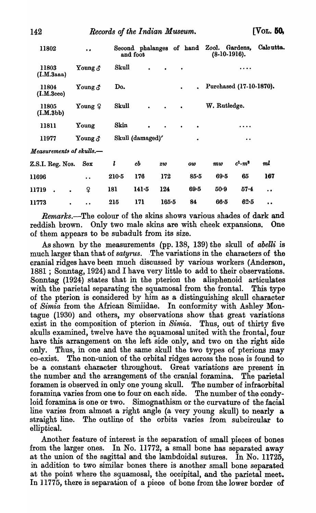| 11802                    | $\bullet$            |         | Second phalanges of hand Zool. Gardens,<br>and foot |           |           |           | $(8-10-1916).$                   |                     | Calcutta.            |
|--------------------------|----------------------|---------|-----------------------------------------------------|-----------|-----------|-----------|----------------------------------|---------------------|----------------------|
| 11803<br>(I.M.3aa)       | Young $\delta$       | Skull   | $\bullet$                                           | $\bullet$ |           |           |                                  | $\cdots$            |                      |
| 11804<br>(I.M.3eee)      | Young $\delta$       | Do.     |                                                     |           |           |           | Purchased (17-10-1870).          |                     |                      |
| 11805<br>(I.M.3bb)       | Young $9$            | Skull   | $\bullet$                                           | $\bullet$ | $\bullet$ |           | W. Rutledge.                     |                     |                      |
| 11811                    | Young                | Skin    | $\bullet$                                           | $\bullet$ | ٠         | $\bullet$ |                                  | $\cdots$            |                      |
| 11977                    | Young $\delta$       |         | Skull (damaged)'                                    |           |           |           |                                  | $\bullet$ $\bullet$ |                      |
| Measurements of skulls.— |                      |         |                                                     |           |           |           |                                  |                     |                      |
| Z.S.I. Reg. Nos.         | Sex                  | l       | cb                                                  | <b>zw</b> |           | ow        | $\boldsymbol{m}{\boldsymbol{w}}$ | $c^1 \cdot m^3$     | ml                   |
| 11696                    | $\ddot{\phantom{a}}$ | $210-5$ | 176                                                 | 172       |           | $85 - 5$  | $69 - 5$                         | 65                  | 167                  |
| 11719                    | ¥                    | 181     | 141.5                                               | 124       |           | $69 - 5$  | $50-9$                           | $57 - 4$            | $\ddot{\phantom{a}}$ |
|                          |                      |         |                                                     |           |           |           |                                  |                     |                      |

*Remarks.-The* colour of the skins shows various shades of dark and reddish brown. Only two male skins are with cheek expansions. One of them appears to be subadult from its size.

11773 215 171 165·5 84 66·5 62·5

As shown by the measurements (pp. 138, 139) the skull of *abelli* is much larger than that of *satyrus*. The variations in the characters of the cranial ridges have been much discussed by various workers (Anderson, 1881 ; Sonntag, 1924) and I have very little to add to their observations. Sonntag (1924) states that in the pterion the alisphenoid articulates with the parietal separating the squamosal from the frontal. This type of the pterion is considered by him as a distinguishing skull character of *Simia* from the African Simiidae. In conformity with Ashley Montague (1930) and others, my observations show that great variations exist in the composition of pterion in *Simia.* Thus, out of thirty five skulls examined, twelve have the squamosal united with the frontal, four have this arrangement on the left side only, and two on the right side only. Thus, in one and the same skull the two types of pterions may co-exist. The non-union of the orbital ridges across the nose is found to be a constant character throughout. Great variations are present in the number and the arrangement of the cranial foramina. The parietal foramen is observed in only one young skull. The number of infraorbital foramina varies from one to four on each side. The number of the condyloid foramina is one or two. Simognathism or the curvature of the facial line varies from almost a right angle (a very young skull) to nearly a straight line. The outline of the orbits varies from subcircular to elliptical.

Another feature of interest is the separation of small pieces of bones from the larger ones. In No. 11772, a small bone has separated away at the union of the sagittal and the lambdoidal sutures. In No. 11725, in addition to two similar bones there is another small bone separated at the point where the squamosal, the occipital, and the parietal meet. In 11775, there is separation of a piece of bone from the lower border of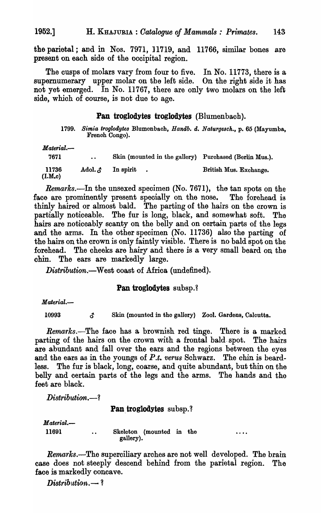the parietal; and in Nos. 7971, 11719, and 11766, similar bones are present on each side of the oocipital region.

The cusps of molars vary from four to five. In No. 11773, there is a supernumerary upper molar on the left side. On the right side it has not yet emerged. In No. 11767, there are only two molars on the left side, whioh of course, is not due to age.

#### **Pan** troglodytes troglodytes (Blumenbach).

*1799. Simia troglodytes* Blumenbaoh, *Handb. d. Naturge8ck.,* p. 65 (Mayumba, Frenoh Congo).

 $\ddotsc$ 

| $Material$ — |               |                                                        |                        |
|--------------|---------------|--------------------------------------------------------|------------------------|
| 7671         | $\bullet$     | Skin (mounted in the gallery) Purchased (Berlin Mus.). |                        |
| 11736        | Adol. $\beta$ | In spirit                                              | British Mus. Exchange. |

*Remarks.*—In the unsexed specimen (No. 7671), the tan spots on the face are prominently present specially on the nose. The forehead is thinly haired or almost bald. The parting of the hairs on the orown is partially notioeable. The fur is long, black, and somewhat soft. The hairs are notioeably scanty on the belly and on certain parts of the legs and the arms. In the other speoimen (No. 11736) also the parting of the hairs on the crown is only faintly visible. There is no bald spot on the forehead. The cheeks are hairy and there is a very small beard on the chin. The ears are markedly large.

*Distribution.-West* coast of Africa (undefined).

#### **Pan troglodytes** subsp.?

*Material.-*

(I.M.c)

10993  $\beta$  Skin (mounted in the gallery) Zool. Gardens, Calcutta.

*Remarks.*-The face has a brownish red tinge. There is a marked parting of the hairs on the orown with a frontal bald. spot. Tho hairs are abundant and fall over the ears and the regions between the eyes and the ears as in the youngs of *P.t. verus* Schwarz. The ohin is beardless. The fur is black, long, coarse, and quite abundant, but thin on the belly and certain parts of the legs and the arms. The hands and the feet are black.

 $Distribution. -?$ 

 $\ddot{\phantom{a}}$ 

# Pan troglodytes subsp.?

 $$ 11691

Skeleton (mounted in the gallery).

*Remarks.-The* superciliary arches are not well developed. The brain case does not steeply descend behind from the parietal region. The face is markedly concave.

*Distribution.*  $-$ ?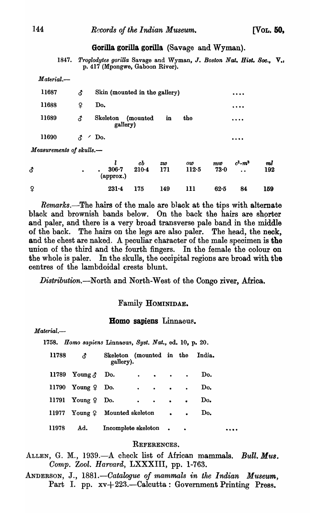#### Gorilla gorilla gorilla (Savage and Wyman).

*1847. Troglodytes gorilla* Savage and Wyman, J. *Boston Nat. Hist.* 800., V., p. 417 (Mpongwe, Gaboon River).

*Material.-*

| 11687 | ය.      | Skin (mounted in the gallery)                  | $\bullet\bullet\bullet\bullet$ |
|-------|---------|------------------------------------------------|--------------------------------|
| 11688 | Չ       | Do.                                            | $\cdots$                       |
| 11689 | ය.      | Skeleton<br>in<br>the<br>(mounted)<br>gallery) | $\cdots$                       |
| 11690 | Æ.<br>∕ | Do.                                            | $\cdots$                       |
|       | .       |                                                |                                |

*Measurements of skulls.*-

| ₫            | ٠ | $306 - 7$<br>$\left($ approx. $\right)$ | cb<br>$210-4$ | zw<br>171 | ow<br>112.5 | $m\omega$<br>73.0 | $c^1 \cdot m^3$<br>$\ddot{\phantom{a}}$ | mŀ<br>192 |
|--------------|---|-----------------------------------------|---------------|-----------|-------------|-------------------|-----------------------------------------|-----------|
| $\mathsf{P}$ |   | $231 - 4$                               | 175           | 149       | 111         | 62.5              | 84                                      | 159       |

*Remarks.*—The hairs of the male are black at the tips with alternate black and brownish bands below. On the back the hairs are shorter and paler, and there is a very broad transverse pale band in the middle of the back. The hairs on the legs are also paler. The head, the neok, and the chest are naked. A peculiar character of the male specimen is the union of the third and the fourth fingers. In the female the colour on the whole is paler. In the skulls, the occipital regions are broad with tbe centres of the lambdoidal crests blunt.

*Distribution.-North* and North-West of the Congo river, Africa.

#### Family HOMINIDAE.

#### Homo sapiens Linnaeus.

*Material.-* 1758. *Homo 8apiens* Linnaeu9, *Byst. Nat.,* ed. 10, p. 20. 11788  $\beta$  Skeleton (mounted in the India. gallery). 11789  $\text{Young } \delta$  Do. . . . Do.  $11790$  Young  $9$  Do.  $\cdot \cdot \cdot \cdot$   $\cdot \cdot$  Do. 11791 Young  $9$  Do.  $\cdot \cdot \cdot \cdot \cdot$  Do. 11977 Young  $\Omega$  Mounted skeleton • • Do. 11978 Ad. Incomplete skeleton • • •••

#### REFERENCES.

ALLEN, G. M., 1939.-A check list of African mammals. *Bull. Mus. Oomp. Zool. Harvard,* LXXXIII, pp. 1-763.

ANDERSON, J., 1881.—Catalogue of mammals in the Indian Museum, Part I. pp. xv+223.—Calcutta: Government Printing Press.